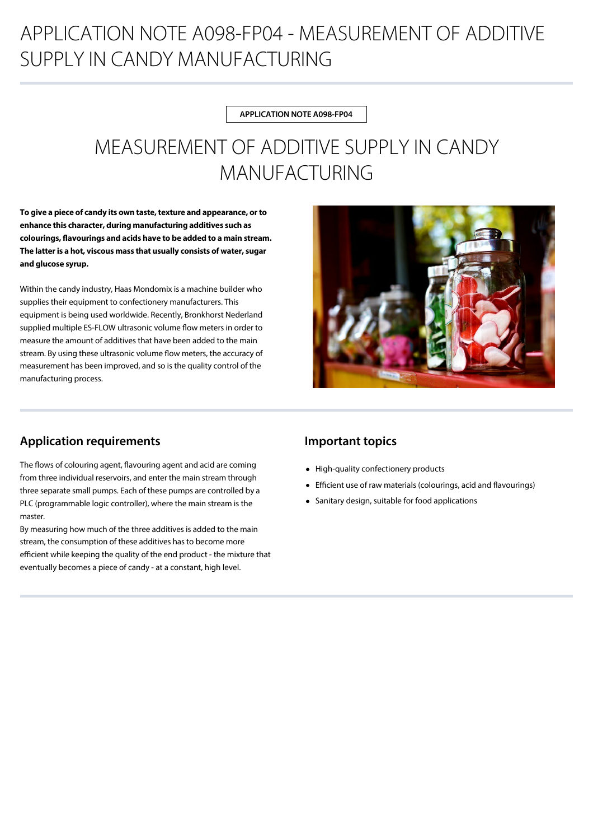# APPLICATION NOTE A098-FP04 - MEASUREMENT OF ADDITIVE SUPPLY IN CANDY MANUFACTURING

#### **APPLICATION NOTE A098-FP04**

# MEASUREMENT OF ADDITIVE SUPPLY IN CANDY MANUFACTURING

**To give a piece of candy its own taste, texture and appearance, or to enhance this character, during manufacturing additives such as colourings, avourings and acids have to be added to a main stream. The latter is a hot, viscous mass that usually consists of water, sugar and glucose syrup.**

Within the candy industry, Haas Mondomix is a machine builder who supplies their equipment to confectionery manufacturers. This equipment is being used worldwide. Recently, Bronkhorst Nederland supplied multiple ES-FLOW ultrasonic volume flow meters in order to measure the amount of additives that have been added to the main stream. By using these ultrasonic volume flow meters, the accuracy of measurement has been improved, and so is the quality control of the manufacturing process.



### **Application requirements**

The flows of colouring agent, flavouring agent and acid are coming from three individual reservoirs, and enter the main stream through three separate small pumps. Each of these pumps are controlled by a PLC (programmable logic controller), where the main stream is the master.

By measuring how much of the three additives is added to the main stream, the consumption of these additives has to become more efficient while keeping the quality of the end product - the mixture that eventually becomes a piece of candy - at a constant, high level.

### **Important topics**

- High-quality confectionery products
- Efficient use of raw materials (colourings, acid and flavourings)
- Sanitary design, suitable for food applications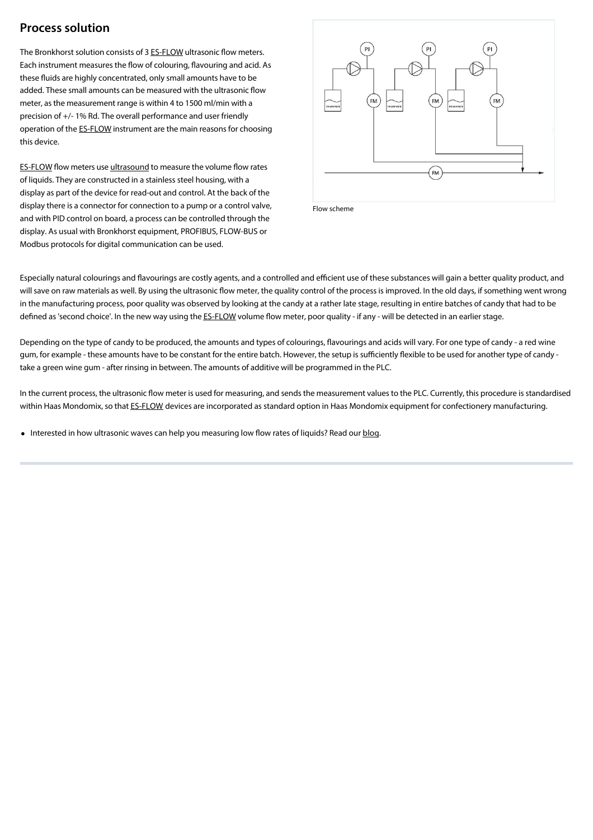### **Process solution**

The Bronkhorst solution consists of 3 [ES-FLOW](https://www.bronkhorst.com/products/liquid-flow/es-flow/) ultrasonic flow meters. Each instrument measures the flow of colouring, flavouring and acid. As these fluids are highly concentrated, only small amounts have to be added. These small amounts can be measured with the ultrasonic flow meter, as the measurement range is within 4 to 1500 ml/min with a precision of +/- 1% Rd. The overall performance and user friendly operation of the [ES-FLOW](https://www.bronkhorst.com/products/liquid-flow/es-flow/) instrument are the main reasons for choosing this device.

[ES-FLOW](https://www.bronkhorst.com/products/liquid-flow/es-flow/) flow meters use [ultrasound](https://www.bronkhorst.com/service-support/technologies/ultrasonic-liquid-flow-measurement/) to measure the volume flow rates of liquids. They are constructed in a stainless steel housing, with a display as part of the device for read-out and control. At the back of the display there is a connector for connection to a pump or a control valve, and with PID control on board, a process can be controlled through the display. As usual with Bronkhorst equipment, PROFIBUS, FLOW-BUS or Modbus protocols for digital communication can be used.



Flow scheme

Especially natural colourings and flavourings are costly agents, and a controlled and efficient use of these substances will gain a better quality product, and will save on raw materials as well. By using the ultrasonic flow meter, the quality control of the process is improved. In the old days, if something went wrong in the manufacturing process, poor quality was observed by looking at the candy at a rather late stage, resulting in entire batches of candy that had to be defined as 'second choice'. In the new way using the [ES-FLOW](https://www.bronkhorst.com/products/liquid-flow/es-flow/) volume flow meter, poor quality - if any - will be detected in an earlier stage.

Depending on the type of candy to be produced, the amounts and types of colourings, flavourings and acids will vary. For one type of candy - a red wine gum, for example - these amounts have to be constant for the entire batch. However, the setup is sufficiently flexible to be used for another type of candy take a green wine gum - after rinsing in between. The amounts of additive will be programmed in the PLC.

In the current process, the ultrasonic flow meter is used for measuring, and sends the measurement values to the PLC. Currently, this procedure is standardised within Haas Mondomix, so that [ES-FLOW](https://www.bronkhorst.com/products/liquid-flow/es-flow/) devices are incorporated as standard option in Haas Mondomix equipment for confectionery manufacturing.

• Interested in how ultrasonic waves can help you measuring low flow rates of liquids? Read our [blog.](https://www.bronkhorst.com/blog/how-to-measure-low-flow-rates-of-liquids-using-ultrasonic-waves/)